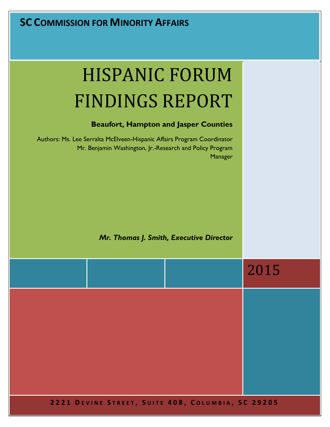# **SC COMMISSION FOR MINORITY AFFAIRS**

# HISPANIC FORUM FINDINGS REPORT

#### **Beaufort, Hampton and Jasper Counties**

Authors: Ms. Lee Serralta McElveen-Hispanic Affairs Program Coordinator Mr. Benjamin Washington, Jr.-Research and Policy Program Manager

#### *Mr. Thomas J. Smith, Executive Director*

|  |                                                   | 2015 |
|--|---------------------------------------------------|------|
|  |                                                   |      |
|  |                                                   |      |
|  |                                                   |      |
|  | 2221 DEVINE STREET, SUITE 408, COLUMBIA, SC 29205 |      |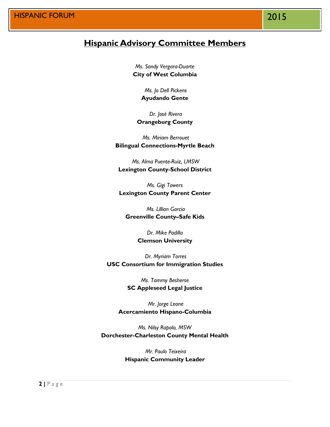# **Hispanic Advisory Committee Members**

*Ms. Sandy Vergara-Duarte* **City of West Columbia**

> *Ms. Jo Dell Pickens* **Ayudando Gente**

*Dr. José Rivera* **Orangeburg County**

*Ms. Miriam Berrouet* **Bilingual Connections-Myrtle Beach**

*Ms. Alma Puente-Ruiz, LMSW* **Lexington County-School District**

*Ms. Gigi Towers* **Lexington County Parent Center**

*Ms. Lillian Garcia* **Greenville County–Safe Kids** 

> *Dr. Mike Padilla* **Clemson University**

*Dr. Myriam Torres* **USC Consortium for Immigration Studies**

> *Ms. Tammy Besherse* **SC Appleseed Legal Justice**

*Mr. Jorge Leone* **Acercamiento Hispano-Columbia**

*Ms. Nilsy Rapolo, MSW* **Dorchester-Charleston County Mental Health**

> *Mr. Paulo Teixeira* **Hispanic Community Leader**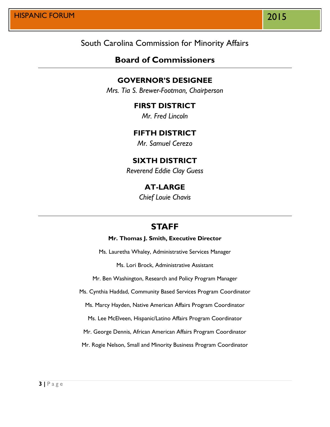## South Carolina Commission for Minority Affairs

## **Board of Commissioners**

#### **GOVERNOR'S DESIGNEE**

*Mrs. Tia S. Brewer-Footman, Chairperson*

## **FIRST DISTRICT**

*Mr. Fred Lincoln*

#### **FIFTH DISTRICT**

*Mr. Samuel Cerezo*

#### **SIXTH DISTRICT**

*Reverend Eddie Clay Guess*

#### **AT-LARGE**

*Chief Louie Chavis*

# **STAFF**

#### **Mr. Thomas J. Smith, Executive Director**

Ms. Lauretha Whaley, Administrative Services Manager

Ms. Lori Brock, Administrative Assistant

Mr. Ben Washington, Research and Policy Program Manager

Ms. Cynthia Haddad, Community Based Services Program Coordinator

Ms. Marcy Hayden, Native American Affairs Program Coordinator

Ms. Lee McElveen, Hispanic/Latino Affairs Program Coordinator

Mr. George Dennis, African American Affairs Program Coordinator

Mr. Rogie Nelson, Small and Minority Business Program Coordinator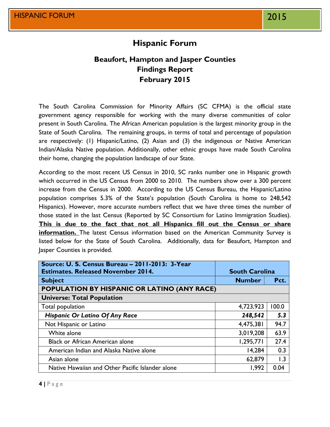# **Hispanic Forum**

## **Beaufort, Hampton and Jasper Counties Findings Report February 2015**

The South Carolina Commission for Minority Affairs (SC CFMA) is the official state government agency responsible for working with the many diverse communities of color present in South Carolina. The African American population is the largest minority group in the State of South Carolina. The remaining groups, in terms of total and percentage of population are respectively: (1) Hispanic/Latino, (2) Asian and (3) the indigenous or Native American Indian/Alaska Native population. Additionally, other ethnic groups have made South Carolina their home, changing the population landscape of our State.

According to the most recent US Census in 2010, SC ranks number one in Hispanic growth which occurred in the US Census from 2000 to 2010. The numbers show over a 300 percent increase from the Census in 2000. According to the US Census Bureau, the Hispanic/Latino population comprises 5.3% of the State's population (South Carolina is home to 248,542 Hispanics). However, more accurate numbers reflect that we have three times the number of those stated in the last Census (Reported by SC Consortium for Latino Immigration Studies). **This is due to the fact that not all Hispanics fill out the Census or share information.** The latest Census information based on the American Community Survey is listed below for the State of South Carolina. Additionally, data for Beaufort, Hampton and Jasper Counties is provided.

| Source: U. S. Census Bureau - 2011-2013: 3-Year  |                       |       |  |
|--------------------------------------------------|-----------------------|-------|--|
| <b>Estimates. Released November 2014.</b>        | <b>South Carolina</b> |       |  |
| <b>Subject</b>                                   | <b>Number</b>         | Pct.  |  |
| POPULATION BY HISPANIC OR LATINO (ANY RACE)      |                       |       |  |
| <b>Universe: Total Population</b>                |                       |       |  |
| Total population                                 | 4,723,923             | 100.0 |  |
| <b>Hispanic Or Latino Of Any Race</b>            | 248,542               | 5.3   |  |
| Not Hispanic or Latino                           | 4,475,381             | 94.7  |  |
| White alone                                      | 3,019,208             | 63.9  |  |
| <b>Black or African American alone</b>           | 1,295,771             | 27.4  |  |
| American Indian and Alaska Native alone          | 14,284                | 0.3   |  |
| Asian alone                                      | 62,879                | 1.3   |  |
| Native Hawaiian and Other Pacific Islander alone | 1,992                 | 0.04  |  |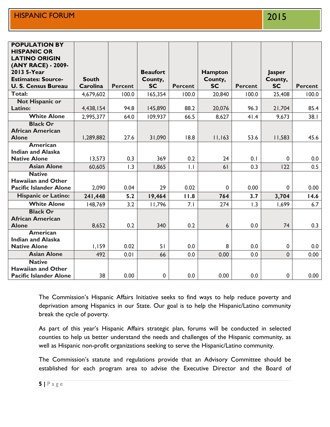| <b>POPULATION BY</b><br><b>HISPANIC OR</b>      |              |                |                 |                |                |                |               |                |
|-------------------------------------------------|--------------|----------------|-----------------|----------------|----------------|----------------|---------------|----------------|
| <b>LATINO ORIGIN</b>                            |              |                |                 |                |                |                |               |                |
| (ANY RACE) - 2009-                              |              |                |                 |                |                |                |               |                |
| 2013 5-Year                                     |              |                | <b>Beaufort</b> |                | <b>Hampton</b> |                | <b>Jasper</b> |                |
| <b>Estimates: Source-</b>                       | <b>South</b> |                | County,         |                | County,        |                | County,       |                |
| <b>U. S. Census Bureau</b>                      | Carolina     | <b>Percent</b> | <b>SC</b>       | <b>Percent</b> | <b>SC</b>      | <b>Percent</b> | <b>SC</b>     | <b>Percent</b> |
| Total:                                          | 4,679,602    | 100.0          | 165,354         | 100.0          | 20,840         | 100.0          | 25,408        | 100.0          |
| <b>Not Hispanic or</b>                          |              |                |                 |                |                |                |               |                |
| Latino:                                         | 4,438,154    | 94.8           | 145,890         | 88.2           | 20,076         | 96.3           | 21,704        | 85.4           |
| <b>White Alone</b>                              | 2,995,377    | 64.0           | 109,937         | 66.5           | 8,627          | 41.4           | 9,673         | 38.1           |
| <b>Black Or</b>                                 |              |                |                 |                |                |                |               |                |
| <b>African American</b>                         |              |                |                 |                |                |                |               |                |
| <b>Alone</b>                                    | 1,289,882    | 27.6           | 31,090          | 18.8           | 11,163         | 53.6           | 11,583        | 45.6           |
| American                                        |              |                |                 |                |                |                |               |                |
| <b>Indian and Alaska</b><br><b>Native Alone</b> | 13,573       | 0.3            | 369             | 0.2            | 24             | 0.1            | $\mathbf 0$   | 0.0            |
|                                                 |              |                |                 |                |                |                |               |                |
| <b>Asian Alone</b>                              | 60,605       | 1.3            | 1,865           | $\mathsf{L}$   | 61             | 0.3            | 122           | 0.5            |
| <b>Native</b><br><b>Hawaiian and Other</b>      |              |                |                 |                |                |                |               |                |
| <b>Pacific Islander Alone</b>                   | 2,090        | 0.04           | 29              | 0.02           | 0              | 0.00           | $\mathbf 0$   | 0.00           |
| <b>Hispanic or Latino:</b>                      | 241,448      | 5.2            | 19,464          | 11.8           | 764            | 3.7            | 3,704         | 14.6           |
| <b>White Alone</b>                              | 148,769      | 3.2            | 11,796          | 7.1            | 274            | 1.3            | 1,699         | 6.7            |
| <b>Black Or</b>                                 |              |                |                 |                |                |                |               |                |
| <b>African American</b>                         |              |                |                 |                |                |                |               |                |
| <b>Alone</b>                                    | 8,652        | 0.2            | 340             | 0.2            | 6              | 0.0            | 74            | 0.3            |
| <b>American</b>                                 |              |                |                 |                |                |                |               |                |
| <b>Indian and Alaska</b>                        |              |                |                 |                |                |                |               |                |
| <b>Native Alone</b>                             | 1,159        | 0.02           | 51              | 0.0            | 8              | 0.0            | $\mathbf 0$   | 0.0            |
| <b>Asian Alone</b>                              | 492          | 0.01           | 66              | 0.0            | 0.00           | 0.0            | $\mathbf{0}$  | 0.00           |
| <b>Native</b>                                   |              |                |                 |                |                |                |               |                |
| <b>Hawaiian and Other</b>                       |              |                |                 |                |                |                |               |                |
| <b>Pacific Islander Alone</b>                   | 38           | 0.00           | $\pmb{0}$       | 0.0            | 0.00           | 0.0            | $\mathbf 0$   | 0.00           |

The Commission's Hispanic Affairs Initiative seeks to find ways to help reduce poverty and deprivation among Hispanics in our State. Our goal is to help the Hispanic/Latino community break the cycle of poverty.

As part of this year's Hispanic Affairs strategic plan, forums will be conducted in selected counties to help us better understand the needs and challenges of the Hispanic community, as well as Hispanic non-profit organizations seeking to serve the Hispanic/Latino community.

The Commission's statute and regulations provide that an Advisory Committee should be established for each program area to advise the Executive Director and the Board of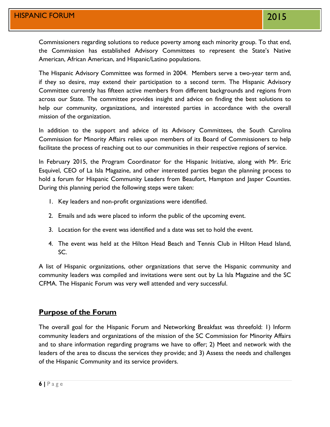Commissioners regarding solutions to reduce poverty among each minority group. To that end, the Commission has established Advisory Committees to represent the State's Native American, African American, and Hispanic/Latino populations.

The Hispanic Advisory Committee was formed in 2004. Members serve a two-year term and, if they so desire, may extend their participation to a second term. The Hispanic Advisory Committee currently has fifteen active members from different backgrounds and regions from across our State. The committee provides insight and advice on finding the best solutions to help our community, organizations, and interested parties in accordance with the overall mission of the organization.

In addition to the support and advice of its Advisory Committees, the South Carolina Commission for Minority Affairs relies upon members of its Board of Commissioners to help facilitate the process of reaching out to our communities in their respective regions of service.

In February 2015, the Program Coordinator for the Hispanic Initiative, along with Mr. Eric Esquivel, CEO of La Isla Magazine, and other interested parties began the planning process to hold a forum for Hispanic Community Leaders from Beaufort, Hampton and Jasper Counties. During this planning period the following steps were taken:

- 1. Key leaders and non-profit organizations were identified.
- 2. Emails and ads were placed to inform the public of the upcoming event.
- 3. Location for the event was identified and a date was set to hold the event.
- 4. The event was held at the Hilton Head Beach and Tennis Club in Hilton Head Island, SC.

A list of Hispanic organizations, other organizations that serve the Hispanic community and community leaders was compiled and invitations were sent out by La Isla Magazine and the SC CFMA. The Hispanic Forum was very well attended and very successful.

#### **Purpose of the Forum**

The overall goal for the Hispanic Forum and Networking Breakfast was threefold: 1) Inform community leaders and organizations of the mission of the SC Commission for Minority Affairs and to share information regarding programs we have to offer; 2) Meet and network with the leaders of the area to discuss the services they provide; and 3) Assess the needs and challenges of the Hispanic Community and its service providers.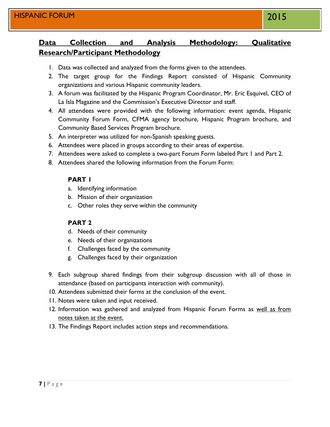# **Data Collection and Analysis Methodology: Qualitative Research/Participant Methodology**

- 1. Data was collected and analyzed from the forms given to the attendees.
- 2. The target group for the Findings Report consisted of Hispanic Community organizations and various Hispanic community leaders.
- 3. A forum was facilitated by the Hispanic Program Coordinator, Mr. Eric Esquivel, CEO of La Isla Magazine and the Commission's Executive Director and staff.
- 4. All attendees were provided with the following information: event agenda, Hispanic Community Forum Form, CFMA agency brochure, Hispanic Program brochure, and Community Based Services Program brochure.
- 5. An interpreter was utilized for non-Spanish speaking guests.
- 6. Attendees were placed in groups according to their areas of expertise.
- 7. Attendees were asked to complete a two-part Forum Form labeled Part 1 and Part 2.
- 8. Attendees shared the following information from the Forum Form:

#### **PART 1**

- a. Identifying information
- b. Mission of their organization
- c. Other roles they serve within the community

#### **PART 2**

- d. Needs of their community
- e. Needs of their organizations
- f. Challenges faced by the community
- g. Challenges faced by their organization
- 9. Each subgroup shared findings from their subgroup discussion with all of those in attendance (based on participants interaction with community).
- 10. Attendees submitted their forms at the conclusion of the event.
- 11. Notes were taken and input received.
- 12. Information was gathered and analyzed from Hispanic Forum Forms as well as from notes taken at the event.
- 13. The Findings Report includes action steps and recommendations.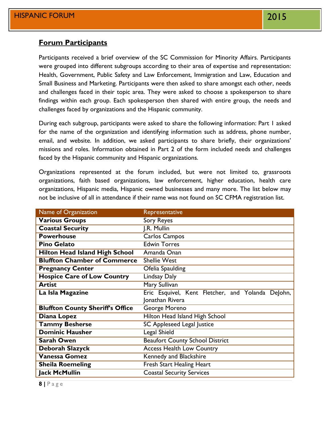#### **Forum Participants**

Participants received a brief overview of the SC Commission for Minority Affairs. Participants were grouped into different subgroups according to their area of expertise and representation: Health, Government, Public Safety and Law Enforcement, Immigration and Law, Education and Small Business and Marketing. Participants were then asked to share amongst each other, needs and challenges faced in their topic area. They were asked to choose a spokesperson to share findings within each group. Each spokesperson then shared with entire group, the needs and challenges faced by organizations and the Hispanic community.

During each subgroup, participants were asked to share the following information: Part 1 asked for the name of the organization and identifying information such as address, phone number, email, and website. In addition, we asked participants to share briefly, their organizations' missions and roles. Information obtained in Part 2 of the form included needs and challenges faced by the Hispanic community and Hispanic organizations.

Organizations represented at the forum included, but were not limited to, grassroots organizations, faith based organizations, law enforcement, higher education, health care organizations, Hispanic media, Hispanic owned businesses and many more. The list below may not be inclusive of all in attendance if their name was not found on SC CFMA registration list.

| Name of Organization                    | Representative                                    |
|-----------------------------------------|---------------------------------------------------|
| <b>Various Groups</b>                   | Sory Reyes                                        |
| <b>Coastal Security</b>                 | J.R. Mullin                                       |
| <b>Powerhouse</b>                       | Carlos Campos                                     |
| <b>Pino Gelato</b>                      | <b>Edwin Torres</b>                               |
| <b>Hilton Head Island High School</b>   | Amanda Onan                                       |
| <b>Bluffton Chamber of Commerce</b>     | <b>Shellie West</b>                               |
| <b>Pregnancy Center</b>                 | Ofelia Spaulding                                  |
| <b>Hospice Care of Low Country</b>      | <b>Lindsay Daly</b>                               |
| <b>Artist</b>                           | Mary Sullivan                                     |
| La Isla Magazine                        | Eric Esquivel, Kent Fletcher, and Yolanda DeJohn, |
|                                         | Jonathan Rivera                                   |
| <b>Bluffton County Sheriff's Office</b> | George Moreno                                     |
| Diana Lopez                             | Hilton Head Island High School                    |
| <b>Tammy Besherse</b>                   | SC Appleseed Legal Justice                        |
| <b>Dominic Hausher</b>                  | Legal Shield                                      |
| <b>Sarah Owen</b>                       | <b>Beaufort County School District</b>            |
| Deborah Slazyck                         | <b>Access Health Low Country</b>                  |
| <b>Vanessa Gomez</b>                    | <b>Kennedy and Blackshire</b>                     |
| <b>Sheila Roemeling</b>                 | Fresh Start Healing Heart                         |
| <b>Jack McMullin</b>                    | <b>Coastal Security Services</b>                  |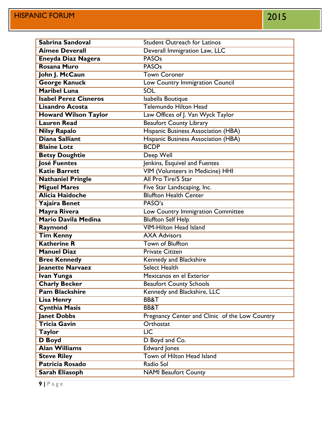| Sabrina Sandoval                         | <b>Student Outreach for Latinos</b>            |
|------------------------------------------|------------------------------------------------|
| <b>Aimee Deverall</b>                    | Deverall Immigration Law, LLC                  |
| Eneyda Diaz Nagera                       | <b>PASOs</b>                                   |
| Rosana Muro                              | <b>PASOs</b>                                   |
| John J. McCaun                           | <b>Town Coroner</b>                            |
| <b>George Kanuck</b>                     | Low Country Immigration Council                |
| <b>Maribel Luna</b>                      | <b>SOL</b>                                     |
| <b>Isabel Perez Cisneros</b>             | Isabella Boutique                              |
| <b>Lisandro Acosta</b>                   | <b>Telemundo Hilton Head</b>                   |
| <b>Howard Wilson Taylor</b>              | Law Offices of J. Van Wyck Taylor              |
| <b>Lauren Read</b>                       | <b>Beaufort County Library</b>                 |
| <b>Nilsy Rapalo</b>                      | Hispanic Business Association (HBA)            |
| Diana Salliant                           | Hispanic Business Association (HBA)            |
| <b>Blaine Lotz</b>                       | <b>BCDP</b>                                    |
| <b>Betsy Doughtie</b>                    | Deep Well                                      |
| <b>José Fuentes</b>                      | Jenkins, Esquivel and Fuentes                  |
| <b>Katie Barrett</b>                     | <b>VIM (Volunteers in Medicine) HHI</b>        |
| <b>Nathaniel Pringle</b>                 | All Pro Tire/5 Star                            |
| <b>Miguel Mares</b>                      | Five Star Landscaping, Inc.                    |
| <b>Alicia Haidoche</b>                   | <b>Bluffton Health Center</b>                  |
| Yajaira Benet                            | PASO's                                         |
| Mayra Rivera                             | Low Country Immigration Committee              |
| <b>Mario Davila Medina</b>               | <b>Bluffton Self Help</b>                      |
| Raymond                                  | <b>VIM-Hilton Head Island</b>                  |
| <b>Tim Kenny</b>                         | <b>AXA Advisors</b>                            |
| <b>Katherine R</b>                       | <b>Town of Bluffton</b>                        |
| <b>Manuel Diaz</b>                       | <b>Private Citizen</b>                         |
| <b>Bree Kennedy</b>                      | <b>Kennedy and Blackshire</b>                  |
| <b>Jeanette Narvaez</b>                  | <b>Select Health</b>                           |
| Ivan Yunga                               | Mexicanos en el Exterior                       |
| <b>Charly Becker</b>                     | <b>Beaufort County Schools</b>                 |
| <b>Pam Blackshire</b>                    | Kennedy and Blackshire, LLC                    |
| <b>Lisa Henry</b>                        | BB&T                                           |
| <b>Cynthia Masis</b>                     | <b>BB&amp;T</b>                                |
| Janet Dobbs                              | Pregnancy Center and Clinic of the Low Country |
| Tricia Gavin                             | Orthostat                                      |
| <b>Taylor</b>                            | $\overline{LIC}$                               |
| <b>D</b> Boyd                            | D Boyd and Co.                                 |
|                                          |                                                |
| <b>Alan Williams</b>                     | <b>Edward Jones</b>                            |
| <b>Steve Riley</b>                       | Town of Hilton Head Island                     |
| <b>Patricia Rosado</b><br>Sarah Eliasoph | Radio Sol<br><b>NAMI Beaufort County</b>       |

**9 |** P a g e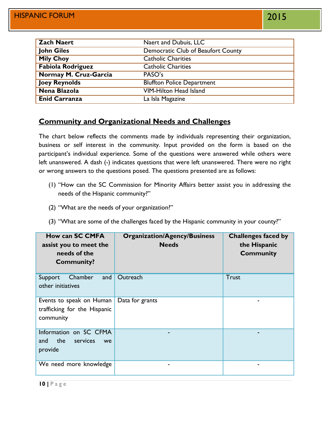| <b>Zach Naert</b>        | Naert and Dubuis, LLC              |
|--------------------------|------------------------------------|
| John Giles               | Democratic Club of Beaufort County |
| <b>Mily Choy</b>         | <b>Catholic Charities</b>          |
| <b>Fabiola Rodriguez</b> | <b>Catholic Charities</b>          |
| Normay M. Cruz-Garcia    | PASO's                             |
| <b>Joey Reynolds</b>     | <b>Bluffton Police Department</b>  |
| Nena Blazola             | <b>VIM-Hilton Head Island</b>      |
| <b>Enid Carranza</b>     | La Isla Magazine                   |

#### **Community and Organizational Needs and Challenges**

The chart below reflects the comments made by individuals representing their organization, business or self interest in the community. Input provided on the form is based on the participant's individual experience. Some of the questions were answered while others were left unanswered. A dash (-) indicates questions that were left unanswered. There were no right or wrong answers to the questions posed. The questions presented are as follows:

- (1) "How can the SC Commission for Minority Affairs better assist you in addressing the needs of the Hispanic community?"
- (2) "What are the needs of your organization?"
- (3) "What are some of the challenges faced by the Hispanic community in your county?"

| <b>How can SC CMFA</b><br>assist you to meet the<br>needs of the<br><b>Community?</b> | <b>Organization/Agency/Business</b><br><b>Needs</b> | <b>Challenges faced by</b><br>the Hispanic<br><b>Community</b> |
|---------------------------------------------------------------------------------------|-----------------------------------------------------|----------------------------------------------------------------|
| Chamber<br>and<br>Support<br>other initiatives                                        | Outreach                                            | Trust                                                          |
| Events to speak on Human<br>trafficking for the Hispanic<br>community                 | Data for grants                                     |                                                                |
| Information on SC CFMA<br>the<br>services<br>and<br>we<br>provide                     |                                                     |                                                                |
| We need more knowledge                                                                | -                                                   |                                                                |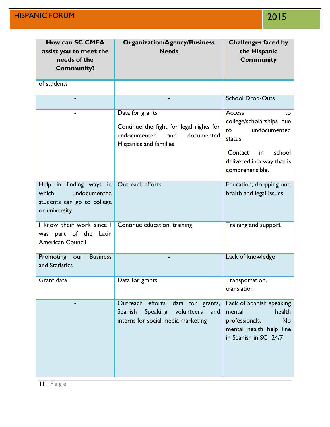| <b>How can SC CMFA</b><br>assist you to meet the<br>needs of the<br><b>Community?</b>           | <b>Organization/Agency/Business</b><br><b>Needs</b>                                                                               | <b>Challenges faced by</b><br>the Hispanic<br><b>Community</b>                                                                                        |
|-------------------------------------------------------------------------------------------------|-----------------------------------------------------------------------------------------------------------------------------------|-------------------------------------------------------------------------------------------------------------------------------------------------------|
| of students                                                                                     |                                                                                                                                   |                                                                                                                                                       |
|                                                                                                 |                                                                                                                                   | <b>School Drop-Outs</b>                                                                                                                               |
|                                                                                                 | Data for grants<br>Continue the fight for legal rights for<br>undocumented<br>documented<br>and<br>Hispanics and families         | Access<br>to<br>college/scholarships due<br>undocumented<br>to<br>status.<br>school<br>Contact<br>in<br>delivered in a way that is<br>comprehensible. |
| Help in finding ways in<br>which<br>undocumented<br>students can go to college<br>or university | Outreach efforts                                                                                                                  | Education, dropping out,<br>health and legal issues                                                                                                   |
| I know their work since I<br>was part of the<br>Latin<br><b>American Council</b>                | Continue education, training                                                                                                      | Training and support                                                                                                                                  |
| Promoting<br><b>Business</b><br>our<br>and Statistics                                           |                                                                                                                                   | Lack of knowledge                                                                                                                                     |
| Grant data                                                                                      | Data for grants                                                                                                                   | Transportation,<br>translation                                                                                                                        |
|                                                                                                 | Outreach<br>efforts,<br>data for grants,<br>Spanish<br><b>Speaking</b><br>volunteers<br>and<br>interns for social media marketing | Lack of Spanish speaking<br>health<br>mental<br>professionals.<br><b>No</b><br>mental health help line<br>in Spanish in SC- 24/7                      |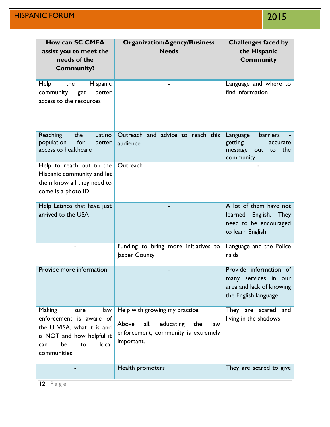| How can SC CMFA<br>assist you to meet the<br>needs of the<br><b>Community?</b>                                                                                | <b>Organization/Agency/Business</b><br><b>Needs</b>                                                                             | <b>Challenges faced by</b><br>the Hispanic<br><b>Community</b>                                     |
|---------------------------------------------------------------------------------------------------------------------------------------------------------------|---------------------------------------------------------------------------------------------------------------------------------|----------------------------------------------------------------------------------------------------|
| Help<br>the<br>Hispanic<br>better<br>community<br>get<br>access to the resources                                                                              |                                                                                                                                 | Language and where to<br>find information                                                          |
| Reaching<br>the<br>Latino<br>population<br>for<br>better<br>access to healthcare                                                                              | Outreach and advice to reach this<br>audience                                                                                   | barriers<br>Language<br>getting<br>accurate<br>the<br>message<br>out<br>to<br>community            |
| Help to reach out to the<br>Hispanic community and let<br>them know all they need to<br>come is a photo ID                                                    | Outreach                                                                                                                        |                                                                                                    |
| Help Latinos that have just<br>arrived to the USA                                                                                                             |                                                                                                                                 | A lot of them have not<br>English. They<br>learned<br>need to be encouraged<br>to learn English    |
|                                                                                                                                                               | Funding to bring more initiatives to<br>Jasper County                                                                           | Language and the Police<br>raids                                                                   |
| Provide more information                                                                                                                                      |                                                                                                                                 | Provide information of<br>many services in our<br>area and lack of knowing<br>the English language |
| <b>Making</b><br>law<br>sure<br>enforcement is aware of<br>the U VISA, what it is and<br>is NOT and how helpful it<br>be<br>local<br>to<br>can<br>communities | Help with growing my practice.<br>Above<br>educating<br>all,<br>the<br>law<br>enforcement, community is extremely<br>important. | and<br>They are scared<br>living in the shadows                                                    |
|                                                                                                                                                               | Health promoters                                                                                                                | They are scared to give                                                                            |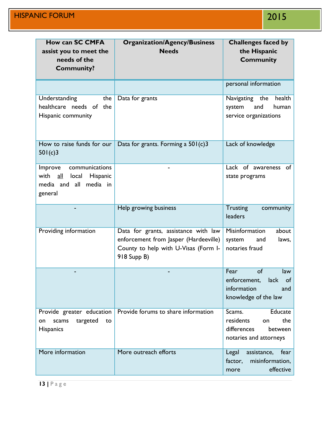| <b>How can SC CMFA</b><br>assist you to meet the<br>needs of the<br><b>Community?</b>                 | <b>Organization/Agency/Business</b><br><b>Needs</b>                                                                                  | <b>Challenges faced by</b><br>the Hispanic<br><b>Community</b>                                  |
|-------------------------------------------------------------------------------------------------------|--------------------------------------------------------------------------------------------------------------------------------------|-------------------------------------------------------------------------------------------------|
|                                                                                                       |                                                                                                                                      | personal information                                                                            |
| Understanding<br>the<br>healthcare needs of the<br>Hispanic community                                 | Data for grants                                                                                                                      | Navigating the<br>health<br>human<br>system<br>and<br>service organizations                     |
| How to raise funds for our<br>501(c)3                                                                 | Data for grants. Forming a $501(c)3$                                                                                                 | Lack of knowledge                                                                               |
| communications<br>Improve<br>with<br>all<br>local<br>Hispanic<br>media and all<br>media in<br>general |                                                                                                                                      | Lack of awareness<br>of<br>state programs                                                       |
|                                                                                                       | Help growing business                                                                                                                | <b>Trusting</b><br>community<br>leaders                                                         |
| Providing information                                                                                 | Data for grants, assistance with law<br>enforcement from Jasper (Hardeeville)<br>County to help with U-Visas (Form I-<br>918 Supp B) | Misinformation<br>about<br>system<br>laws,<br>and<br>notaries fraud                             |
|                                                                                                       |                                                                                                                                      | Fear<br>of<br>law<br>enforcement, lack of<br>information<br>and<br>knowledge of the law         |
| Provide greater education<br>targeted<br>scams<br>to<br>on<br><b>Hispanics</b>                        | Provide forums to share information                                                                                                  | Educate<br>Scams.<br>residents<br>the<br>on<br>differences<br>between<br>notaries and attorneys |
| More information                                                                                      | More outreach efforts                                                                                                                | Legal<br>assistance,<br>fear<br>factor,<br>misinformation,<br>effective<br>more                 |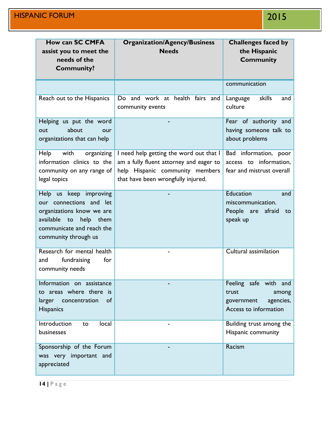| <b>How can SC CMFA</b>                                                                                                                                                 | <b>Organization/Agency/Business</b>                                                                                                                         | <b>Challenges faced by</b>                                                                  |
|------------------------------------------------------------------------------------------------------------------------------------------------------------------------|-------------------------------------------------------------------------------------------------------------------------------------------------------------|---------------------------------------------------------------------------------------------|
| assist you to meet the<br>needs of the<br><b>Community?</b>                                                                                                            | <b>Needs</b>                                                                                                                                                | the Hispanic<br><b>Community</b>                                                            |
|                                                                                                                                                                        |                                                                                                                                                             | communication                                                                               |
| Reach out to the Hispanics                                                                                                                                             | Do and work at health fairs and<br>community events                                                                                                         | skills<br>and<br>Language<br>culture                                                        |
| Helping us put the word<br>about<br>our<br>out<br>organizations that can help                                                                                          |                                                                                                                                                             | Fear of authority and<br>having someone talk to<br>about problems                           |
| with<br>Help<br>organizing<br>information clinics to the<br>community on any range of<br>legal topics                                                                  | I need help getting the word out that I<br>am a fully fluent attorney and eager to<br>help Hispanic community members<br>that have been wrongfully injured. | Bad information, poor<br>access to information,<br>fear and mistrust overall                |
| Help us keep improving<br>our connections and let<br>organizations know we are<br>available<br>help<br>to<br>them<br>communicate and reach the<br>community through us |                                                                                                                                                             | Education<br>and<br>miscommunication.<br>People are afraid<br>to<br>speak up                |
| Research for mental health<br>for<br>and<br>fundraising<br>community needs                                                                                             |                                                                                                                                                             | <b>Cultural assimilation</b>                                                                |
| Information on assistance<br>to areas where there is<br>larger<br>concentration<br>of<br><b>Hispanics</b>                                                              |                                                                                                                                                             | Feeling safe with and<br>trust<br>among<br>government<br>agencies,<br>Access to information |
| Introduction<br>local<br>to<br>businesses                                                                                                                              |                                                                                                                                                             | Building trust among the<br>Hispanic community                                              |
| Sponsorship of the Forum<br>was very important and<br>appreciated                                                                                                      |                                                                                                                                                             | Racism                                                                                      |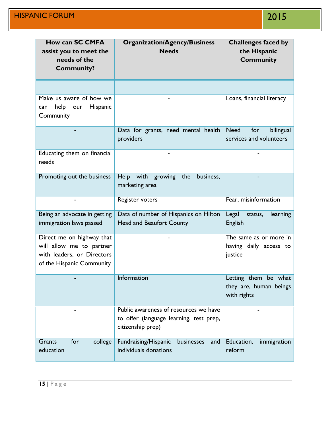| <b>How can SC CMFA</b><br>assist you to meet the<br>needs of the<br><b>Community?</b>                            | <b>Organization/Agency/Business</b><br><b>Needs</b>                                                   | <b>Challenges faced by</b><br>the Hispanic<br><b>Community</b> |
|------------------------------------------------------------------------------------------------------------------|-------------------------------------------------------------------------------------------------------|----------------------------------------------------------------|
|                                                                                                                  |                                                                                                       |                                                                |
| Make us aware of how we<br>help our<br><b>Hispanic</b><br>can<br>Community                                       |                                                                                                       | Loans, financial literacy                                      |
|                                                                                                                  | Data for grants, need mental health<br>providers                                                      | <b>Need</b><br>for<br>bilingual<br>services and volunteers     |
| Educating them on financial<br>needs                                                                             |                                                                                                       |                                                                |
| Promoting out the business                                                                                       | Help with growing<br>the<br>business,<br>marketing area                                               |                                                                |
|                                                                                                                  | Register voters                                                                                       | Fear, misinformation                                           |
| Being an advocate in getting<br>immigration laws passed                                                          | Data of number of Hispanics on Hilton<br><b>Head and Beaufort County</b>                              | Legal<br>status,<br>learning<br><b>English</b>                 |
| Direct me on highway that<br>will allow me to partner<br>with leaders, or Directors<br>of the Hispanic Community |                                                                                                       | The same as or more in<br>having daily access to<br>justice    |
|                                                                                                                  | Information                                                                                           | Letting them be what<br>they are, human beings<br>with rights  |
|                                                                                                                  | Public awareness of resources we have<br>to offer (language learning, test prep,<br>citizenship prep) |                                                                |
| for<br><b>Grants</b><br>college<br>education                                                                     | Fundraising/Hispanic<br>businesses<br>and<br>individuals donations                                    | Education,<br>immigration<br>reform                            |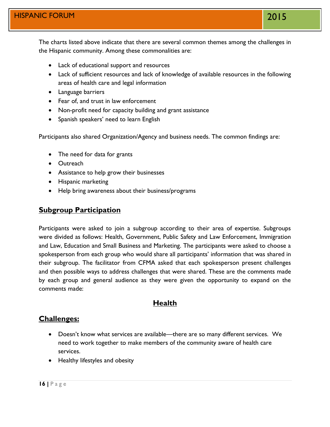The charts listed above indicate that there are several common themes among the challenges in the Hispanic community. Among these commonalities are:

- Lack of educational support and resources
- Lack of sufficient resources and lack of knowledge of available resources in the following areas of health care and legal information
- Language barriers
- Fear of, and trust in law enforcement
- Non-profit need for capacity building and grant assistance
- Spanish speakers' need to learn English

Participants also shared Organization/Agency and business needs. The common findings are:

- The need for data for grants
- Outreach
- Assistance to help grow their businesses
- Hispanic marketing
- Help bring awareness about their business/programs

#### **Subgroup Participation**

Participants were asked to join a subgroup according to their area of expertise. Subgroups were divided as follows: Health, Government, Public Safety and Law Enforcement, Immigration and Law, Education and Small Business and Marketing. The participants were asked to choose a spokesperson from each group who would share all participants' information that was shared in their subgroup. The facilitator from CFMA asked that each spokesperson present challenges and then possible ways to address challenges that were shared. These are the comments made by each group and general audience as they were given the opportunity to expand on the comments made:

#### **Health**

#### **Challenges:**

- Doesn't know what services are available—there are so many different services. We need to work together to make members of the community aware of health care services.
- Healthy lifestyles and obesity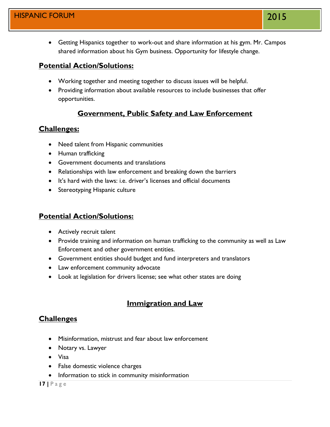Getting Hispanics together to work-out and share information at his gym. Mr. Campos shared information about his Gym business. Opportunity for lifestyle change.

## **Potential Action/Solutions:**

- Working together and meeting together to discuss issues will be helpful.
- Providing information about available resources to include businesses that offer opportunities.

## **Government, Public Safety and Law Enforcement**

## **Challenges:**

- Need talent from Hispanic communities
- Human trafficking
- Government documents and translations
- Relationships with law enforcement and breaking down the barriers
- It's hard with the laws: i.e. driver's licenses and official documents
- Stereotyping Hispanic culture

## **Potential Action/Solutions:**

- Actively recruit talent
- Provide training and information on human trafficking to the community as well as Law Enforcement and other government entities.
- Government entities should budget and fund interpreters and translators
- Law enforcement community advocate
- Look at legislation for drivers license; see what other states are doing

## **Immigration and Law**

## **Challenges**

- Misinformation, mistrust and fear about law enforcement
- Notary vs. Lawyer
- Visa
- False domestic violence charges
- Information to stick in community misinformation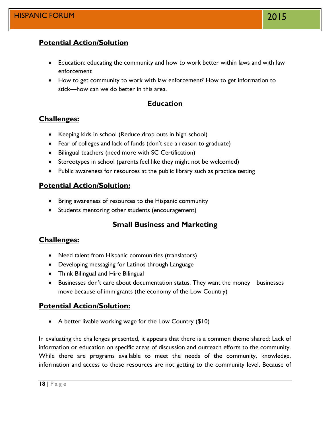## **Potential Action/Solution**

- Education: educating the community and how to work better within laws and with law enforcement
- How to get community to work with law enforcement? How to get information to stick—how can we do better in this area.

## **Education**

## **Challenges:**

- Keeping kids in school (Reduce drop outs in high school)
- Fear of colleges and lack of funds (don't see a reason to graduate)
- Bilingual teachers (need more with SC Certification)
- Stereotypes in school (parents feel like they might not be welcomed)
- Public awareness for resources at the public library such as practice testing

## **Potential Action/Solution:**

- Bring awareness of resources to the Hispanic community
- Students mentoring other students (encouragement)

## **Small Business and Marketing**

## **Challenges:**

- Need talent from Hispanic communities (translators)
- Developing messaging for Latinos through Language
- Think Bilingual and Hire Bilingual
- Businesses don't care about documentation status. They want the money—businesses move because of immigrants (the economy of the Low Country)

## **Potential Action/Solution:**

• A better livable working wage for the Low Country (\$10)

In evaluating the challenges presented, it appears that there is a common theme shared: Lack of information or education on specific areas of discussion and outreach efforts to the community. While there are programs available to meet the needs of the community, knowledge, information and access to these resources are not getting to the community level. Because of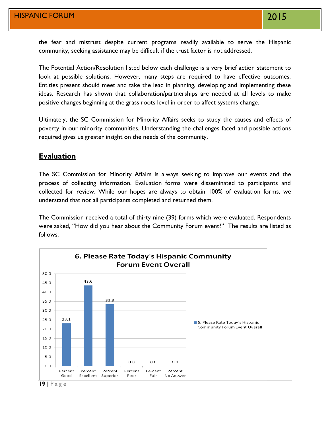the fear and mistrust despite current programs readily available to serve the Hispanic community, seeking assistance may be difficult if the trust factor is not addressed.

The Potential Action/Resolution listed below each challenge is a very brief action statement to look at possible solutions. However, many steps are required to have effective outcomes. Entities present should meet and take the lead in planning, developing and implementing these ideas. Research has shown that collaboration/partnerships are needed at all levels to make positive changes beginning at the grass roots level in order to affect systems change.

Ultimately, the SC Commission for Minority Affairs seeks to study the causes and effects of poverty in our minority communities. Understanding the challenges faced and possible actions required gives us greater insight on the needs of the community.

#### **Evaluation**

The SC Commission for Minority Affairs is always seeking to improve our events and the process of collecting information. Evaluation forms were disseminated to participants and collected for review. While our hopes are always to obtain 100% of evaluation forms, we understand that not all participants completed and returned them.

The Commission received a total of thirty-nine (39) forms which were evaluated. Respondents were asked, "How did you hear about the Community Forum event?" The results are listed as follows:



**19 |** P a g e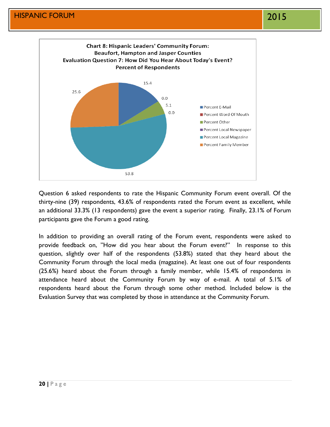

Question 6 asked respondents to rate the Hispanic Community Forum event overall. Of the thirty-nine (39) respondents, 43.6% of respondents rated the Forum event as excellent, while an additional 33.3% (13 respondents) gave the event a superior rating. Finally, 23.1% of Forum participants gave the Forum a good rating.

In addition to providing an overall rating of the Forum event, respondents were asked to provide feedback on, "How did you hear about the Forum event?" In response to this question, slightly over half of the respondents (53.8%) stated that they heard about the Community Forum through the local media (magazine). At least one out of four respondents (25.6%) heard about the Forum through a family member, while 15.4% of respondents in attendance heard about the Community Forum by way of e-mail. A total of 5.1% of respondents heard about the Forum through some other method. Included below is the Evaluation Survey that was completed by those in attendance at the Community Forum.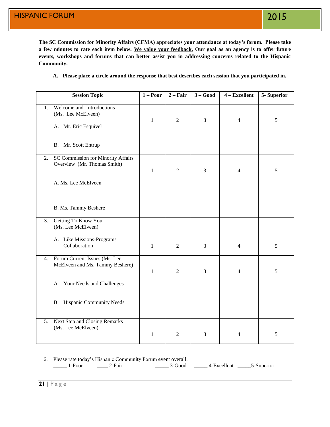**The SC Commission for Minority Affairs (CFMA) appreciates your attendance at today's forum. Please take a few minutes to rate each item below. We value your feedback. Our goal as an agency is to offer future events, workshops and forums that can better assist you in addressing concerns related to the Hispanic Community.** 

**A. Please place a circle around the response that best describes each session that you participated in.**

|    | <b>Session Topic</b>                                                    | $1 - Poor$   | $2 - Fair$     | $3 - Good$ | 4 - Excellent  | 5-Superior |
|----|-------------------------------------------------------------------------|--------------|----------------|------------|----------------|------------|
| 1. | Welcome and Introductions<br>(Ms. Lee McElveen)<br>A. Mr. Eric Esquivel | $\mathbf{1}$ | $\overline{2}$ | 3          | $\overline{4}$ | 5          |
|    | B. Mr. Scott Entrup                                                     |              |                |            |                |            |
| 2. | SC Commission for Minority Affairs<br>Overview (Mr. Thomas Smith)       | $\mathbf{1}$ | $\overline{2}$ | 3          | 4              | 5          |
|    | A. Ms. Lee McElveen                                                     |              |                |            |                |            |
|    | B. Ms. Tammy Beshere                                                    |              |                |            |                |            |
| 3. | Getting To Know You<br>(Ms. Lee McElveen)                               |              |                |            |                |            |
|    | A. Like Missions-Programs<br>Collaboration                              | $\mathbf{1}$ | $\mathfrak{2}$ | 3          | $\overline{4}$ | 5          |
| 4. | Forum Current Issues (Ms. Lee<br>McElveen and Ms. Tammy Beshere)        | $\mathbf{1}$ | $\overline{2}$ | 3          | 4              | 5          |
|    | A. Your Needs and Challenges                                            |              |                |            |                |            |
|    | <b>B.</b> Hispanic Community Needs                                      |              |                |            |                |            |
| 5. | Next Step and Closing Remarks<br>(Ms. Lee McElveen)                     | $\mathbf{1}$ | $\overline{2}$ | 3          | 4              | 5          |

#### 6. Please rate today's Hispanic Community Forum event overall.

\_\_\_\_\_ 1-Poor \_\_\_\_\_ 2-Fair \_\_\_\_\_ 3-Good \_\_\_\_\_ 4-Excellent \_\_\_\_\_5-Superior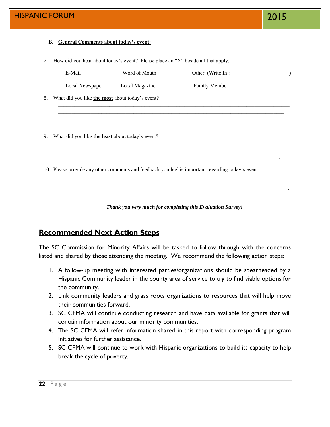#### **B. General Comments about today's event:**

7. How did you hear about today's event? Please place an "X" beside all that apply.

|    | E-Mail                                           | Word of Mouth                      | Other (Write In :                                                                                 |  |  |  |  |  |
|----|--------------------------------------------------|------------------------------------|---------------------------------------------------------------------------------------------------|--|--|--|--|--|
|    |                                                  | Local Newspaper ____Local Magazine | Family Member                                                                                     |  |  |  |  |  |
| 8. | What did you like the most about today's event?  |                                    |                                                                                                   |  |  |  |  |  |
|    |                                                  |                                    |                                                                                                   |  |  |  |  |  |
|    |                                                  |                                    |                                                                                                   |  |  |  |  |  |
| 9. | What did you like the least about today's event? |                                    |                                                                                                   |  |  |  |  |  |
|    |                                                  |                                    |                                                                                                   |  |  |  |  |  |
|    |                                                  |                                    | 10. Please provide any other comments and feedback you feel is important regarding today's event. |  |  |  |  |  |
|    |                                                  |                                    |                                                                                                   |  |  |  |  |  |
|    |                                                  |                                    |                                                                                                   |  |  |  |  |  |

*Thank you very much for completing this Evaluation Survey!*

#### **Recommended Next Action Steps**

The SC Commission for Minority Affairs will be tasked to follow through with the concerns listed and shared by those attending the meeting. We recommend the following action steps:

- 1. A follow-up meeting with interested parties/organizations should be spearheaded by a Hispanic Community leader in the county area of service to try to find viable options for the community.
- 2. Link community leaders and grass roots organizations to resources that will help move their communities forward.
- 3. SC CFMA will continue conducting research and have data available for grants that will contain information about our minority communities.
- 4. The SC CFMA will refer information shared in this report with corresponding program initiatives for further assistance.
- 5. SC CFMA will continue to work with Hispanic organizations to build its capacity to help break the cycle of poverty.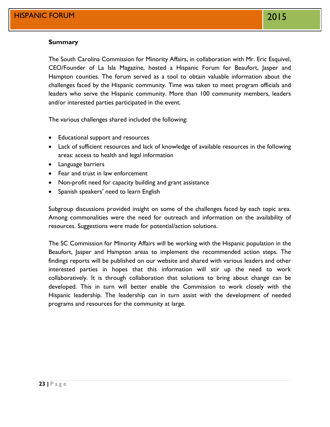#### **Summary**

The South Carolina Commission for Minority Affairs, in collaboration with Mr. Eric Esquivel, CEO/Founder of La Isla Magazine, hosted a Hispanic Forum for Beaufort, Jasper and Hampton counties. The forum served as a tool to obtain valuable information about the challenges faced by the Hispanic community. Time was taken to meet program officials and leaders who serve the Hispanic community. More than 100 community members, leaders and/or interested parties participated in the event.

The various challenges shared included the following:

- Educational support and resources
- Lack of sufficient resources and lack of knowledge of available resources in the following areas: access to health and legal information
- Language barriers
- Fear and trust in law enforcement
- Non-profit need for capacity building and grant assistance
- Spanish speakers' need to learn English

Subgroup discussions provided insight on some of the challenges faced by each topic area. Among commonalities were the need for outreach and information on the availability of resources. Suggestions were made for potential/action solutions.

The SC Commission for Minority Affairs will be working with the Hispanic population in the Beaufort, Jasper and Hampton areas to implement the recommended action steps. The findings reports will be published on our website and shared with various leaders and other interested parties in hopes that this information will stir up the need to work collaboratively. It is through collaboration that solutions to bring about change can be developed. This in turn will better enable the Commission to work closely with the Hispanic leadership. The leadership can in turn assist with the development of needed programs and resources for the community at large.